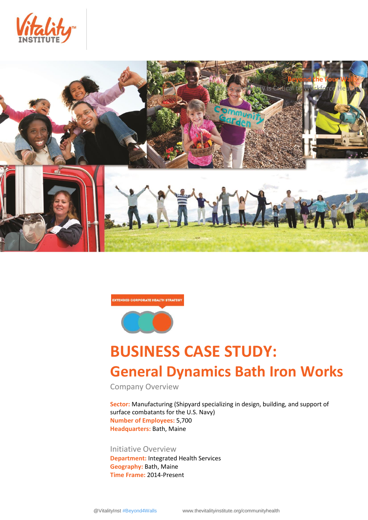



EXTENDED CORPORATE HEALTH STRATEGY



# **BUSINESS CASE STUDY: General Dynamics Bath Iron Works**

Company Overview

**Sector:** Manufacturing (Shipyard specializing in design, building, and support of surface combatants for the U.S. Navy) **Number of Employees:** 5,700 **Headquarters:** Bath, Maine

Initiative Overview **Department:** Integrated Health Services **Geography:** Bath, Maine **Time Frame:** 2014-Present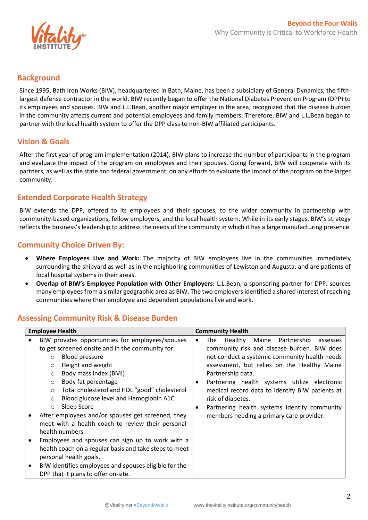

## **Background**

Since 1995, Bath Iron Works (BIW), headquartered in Bath, Maine, has been a subsidiary of General Dynamics, the fifthlargest defense contractor in the world. BIW recently began to offer the National Diabetes Prevention Program (DPP) to its employees and spouses. BIW and L.L.Bean, another major employer in the area, recognized that the disease burden in the community affects current and potential employees and family members. Therefore, BIW and L.L.Bean began to partner with the local health system to offer the DPP class to non-BIW affiliated participants.

## **Vision & Goals**

After the first year of program implementation (2014), BIW plans to increase the number of participants in the program and evaluate the impact of the program on employees and their spouses. Going forward, BIW will cooperate with its partners, as well as the state and federal government, on any efforts to evaluate the impact of the program on the larger community.

## **Extended Corporate Health Strategy**

BIW extends the DPP, offered to its employees and their spouses, to the wider community in partnership with community-based organizations, fellow employers, and the local health system. While in its early stages, BIW's strategy reflects the business's leadership to address the needs of the community in which it has a large manufacturing presence.

# **Community Choice Driven By:**

- **Where Employees Live and Work:** The majority of BIW employees live in the communities immediately surrounding the shipyard as well as in the neighboring communities of Lewiston and Augusta, and are patients of local hospital systems in their areas.
- **Overlap of BIW's Employee Population with Other Employers:** L.L.Bean, a sponsoring partner for DPP, sources many employees from a similar geographic area as BIW. The two employers identified a shared interest of reaching communities where their employee and dependent populations live and work.

# **Assessing Community Risk & Disease Burden**

|           | <b>Employee Health</b>                                  | <b>Community Health</b>                                   |  |
|-----------|---------------------------------------------------------|-----------------------------------------------------------|--|
|           | BIW provides opportunities for employees/spouses        | Healthy Maine Partnership<br>The<br>assesses<br>$\bullet$ |  |
|           | to get screened onsite and in the community for:        | community risk and disease burden. BIW does               |  |
|           | <b>Blood pressure</b><br>$\circ$                        | not conduct a systemic community health needs             |  |
|           | Height and weight<br>$\circ$                            | assessment, but relies on the Healthy Maine               |  |
|           | Body mass index (BMI)<br>$\circ$                        | Partnership data.                                         |  |
|           | Body fat percentage<br>$\circ$                          | Partnering health systems utilize electronic<br>٠         |  |
|           | Total cholesterol and HDL "good" cholesterol<br>$\circ$ | medical record data to identify BIW patients at           |  |
|           | Blood glucose level and Hemoglobin A1C<br>$\circ$       | risk of diabetes.                                         |  |
|           | Sleep Score<br>$\circ$                                  | Partnering health systems identify community<br>٠         |  |
|           | After employees and/or spouses get screened, they       | members needing a primary care provider.                  |  |
|           | meet with a health coach to review their personal       |                                                           |  |
|           | health numbers.                                         |                                                           |  |
| $\bullet$ | Employees and spouses can sign up to work with a        |                                                           |  |
|           | health coach on a regular basis and take steps to meet  |                                                           |  |
|           | personal health goals.                                  |                                                           |  |
| $\bullet$ | BIW identifies employees and spouses eligible for the   |                                                           |  |
|           | DPP that it plans to offer on-site.                     |                                                           |  |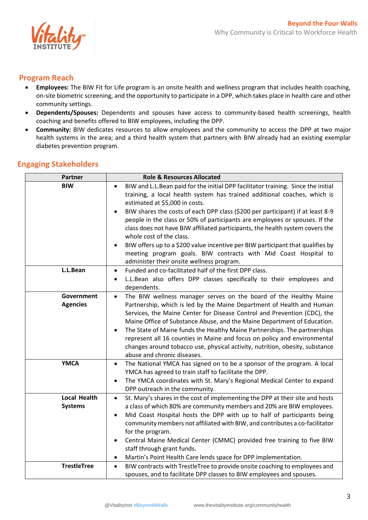

## **Program Reach**

- **Employees:** The BIW Fit for Life program is an onsite health and wellness program that includes health coaching, on-site biometric screening, and the opportunity to participate in a DPP, which takes place in health care and other community settings.
- **Dependents/Spouses:** Dependents and spouses have access to community-based health screenings, health coaching and benefits offered to BIW employees, including the DPP.
- **Community:** BIW dedicates resources to allow employees and the community to access the DPP at two major health systems in the area; and a third health system that partners with BIW already had an existing exemplar diabetes prevention program.

| <b>Partner</b>                        | <b>Role &amp; Resources Allocated</b>                                                                                                                                                                                                                                                                                                                                                                                                                                                                                                                                                  |
|---------------------------------------|----------------------------------------------------------------------------------------------------------------------------------------------------------------------------------------------------------------------------------------------------------------------------------------------------------------------------------------------------------------------------------------------------------------------------------------------------------------------------------------------------------------------------------------------------------------------------------------|
| <b>BIW</b>                            | BIW and L.L.Bean paid for the initial DPP facilitator training. Since the initial<br>$\bullet$<br>training, a local health system has trained additional coaches, which is<br>estimated at \$5,000 in costs.                                                                                                                                                                                                                                                                                                                                                                           |
|                                       | BIW shares the costs of each DPP class (\$200 per participant) if at least 8-9<br>people in the class or 50% of participants are employees or spouses. If the<br>class does not have BIW affiliated participants, the health system covers the<br>whole cost of the class.<br>BIW offers up to a \$200 value incentive per BIW participant that qualifies by                                                                                                                                                                                                                           |
|                                       | meeting program goals. BIW contracts with Mid Coast Hospital to<br>administer their onsite wellness program.                                                                                                                                                                                                                                                                                                                                                                                                                                                                           |
| L.L.Bean                              | Funded and co-facilitated half of the first DPP class.<br>$\bullet$<br>L.L.Bean also offers DPP classes specifically to their employees and<br>dependents.                                                                                                                                                                                                                                                                                                                                                                                                                             |
| Government<br><b>Agencies</b>         | The BIW wellness manager serves on the board of the Healthy Maine<br>$\bullet$<br>Partnership, which is led by the Maine Department of Health and Human<br>Services, the Maine Center for Disease Control and Prevention (CDC), the<br>Maine Office of Substance Abuse, and the Maine Department of Education.<br>The State of Maine funds the Healthy Maine Partnerships. The partnerships<br>represent all 16 counties in Maine and focus on policy and environmental<br>changes around tobacco use, physical activity, nutrition, obesity, substance<br>abuse and chronic diseases. |
| <b>YMCA</b>                           | The National YMCA has signed on to be a sponsor of the program. A local<br>$\bullet$<br>YMCA has agreed to train staff to facilitate the DPP.<br>The YMCA coordinates with St. Mary's Regional Medical Center to expand<br>$\bullet$<br>DPP outreach in the community.                                                                                                                                                                                                                                                                                                                 |
| <b>Local Health</b><br><b>Systems</b> | St. Mary's shares in the cost of implementing the DPP at their site and hosts<br>$\bullet$<br>a class of which 80% are community members and 20% are BIW employees.<br>Mid Coast Hospital hosts the DPP with up to half of participants being<br>community members not affiliated with BIW, and contributes a co-facilitator<br>for the program.<br>Central Maine Medical Center (CMMC) provided free training to five BIW<br>staff through grant funds.<br>Martin's Point Health Care lends space for DPP implementation.<br>٠                                                        |
| <b>TrestleTree</b>                    | BIW contracts with TrestleTree to provide onsite coaching to employees and<br>$\bullet$<br>spouses, and to facilitate DPP classes to BIW employees and spouses.                                                                                                                                                                                                                                                                                                                                                                                                                        |

### **Engaging Stakeholders**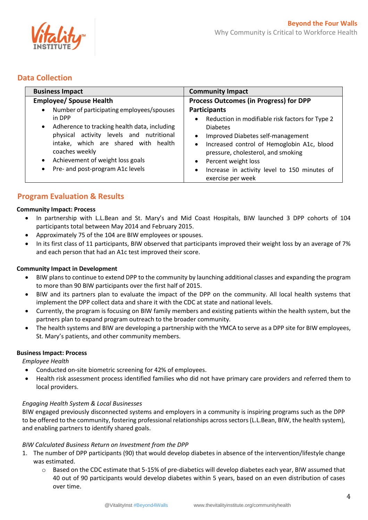

## **Data Collection**

| <b>Business Impact</b>                                                                                                                                                                                                              | <b>Community Impact</b>                                                                                                                                                                                                                                   |
|-------------------------------------------------------------------------------------------------------------------------------------------------------------------------------------------------------------------------------------|-----------------------------------------------------------------------------------------------------------------------------------------------------------------------------------------------------------------------------------------------------------|
| <b>Employee/ Spouse Health</b>                                                                                                                                                                                                      | <b>Process Outcomes (in Progress) for DPP</b>                                                                                                                                                                                                             |
| Number of participating employees/spouses<br>$\bullet$<br>in DPP<br>Adherence to tracking health data, including<br>$\bullet$<br>physical activity levels and nutritional<br>intake, which are shared with health<br>coaches weekly | <b>Participants</b><br>Reduction in modifiable risk factors for Type 2<br>$\bullet$<br><b>Diabetes</b><br>Improved Diabetes self-management<br>$\bullet$<br>Increased control of Hemoglobin A1c, blood<br>$\bullet$<br>pressure, cholesterol, and smoking |
| Achievement of weight loss goals<br>$\bullet$<br>Pre- and post-program A1c levels<br>$\bullet$                                                                                                                                      | Percent weight loss<br>$\bullet$<br>Increase in activity level to 150 minutes of<br>$\bullet$<br>exercise per week                                                                                                                                        |

## **Program Evaluation & Results**

#### **Community Impact: Process**

- In partnership with L.L.Bean and St. Mary's and Mid Coast Hospitals, BIW launched 3 DPP cohorts of 104 participants total between May 2014 and February 2015.
- Approximately 75 of the 104 are BIW employees or spouses.
- In its first class of 11 participants, BIW observed that participants improved their weight loss by an average of 7% and each person that had an A1c test improved their score.

#### **Community Impact in Development**

- BIW plans to continue to extend DPP to the community by launching additional classes and expanding the program to more than 90 BIW participants over the first half of 2015.
- BIW and its partners plan to evaluate the impact of the DPP on the community. All local health systems that implement the DPP collect data and share it with the CDC at state and national levels.
- Currently, the program is focusing on BIW family members and existing patients within the health system, but the partners plan to expand program outreach to the broader community.
- The health systems and BIW are developing a partnership with the YMCA to serve as a DPP site for BIW employees, St. Mary's patients, and other community members.

#### **Business Impact: Process**

*Employee Health*

- Conducted on-site biometric screening for 42% of employees.
- Health risk assessment process identified families who did not have primary care providers and referred them to local providers.

#### *Engaging Health System & Local Businesses*

BIW engaged previously disconnected systems and employers in a community is inspiring programs such as the DPP to be offered to the community, fostering professional relationships across sectors (L.L.Bean, BIW, the health system), and enabling partners to identify shared goals.

#### *BIW Calculated Business Return on Investment from the DPP*

- 1. The number of DPP participants (90) that would develop diabetes in absence of the intervention/lifestyle change was estimated.
	- o Based on the CDC estimate that 5-15% of pre-diabetics will develop diabetes each year, BIW assumed that 40 out of 90 participants would develop diabetes within 5 years, based on an even distribution of cases over time.